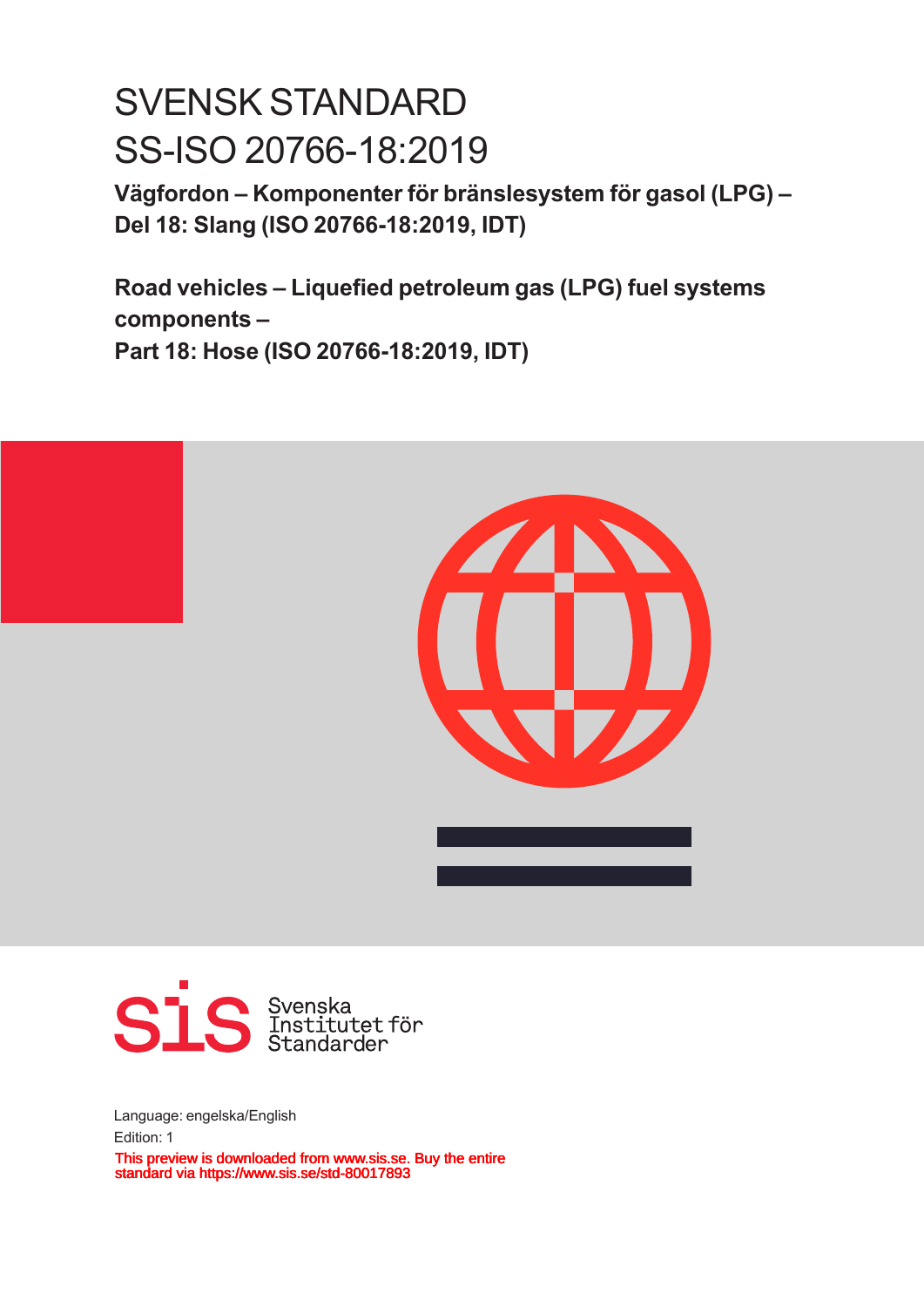# SVENSK STANDARD SS-ISO 20766-18:2019

**Vägfordon – Komponenter för bränslesystem för gasol (LPG) – Del 18: Slang (ISO 20766‑18:2019, IDT)**

**Road vehicles – Liquefied petroleum gas (LPG) fuel systems components – Part 18: Hose (ISO 20766‑18:2019, IDT)**





Language: engelska/English Edition: 1 This preview is downloaded from www.sis.se. Buy the entire standard via https://www.sis.se/std-80017893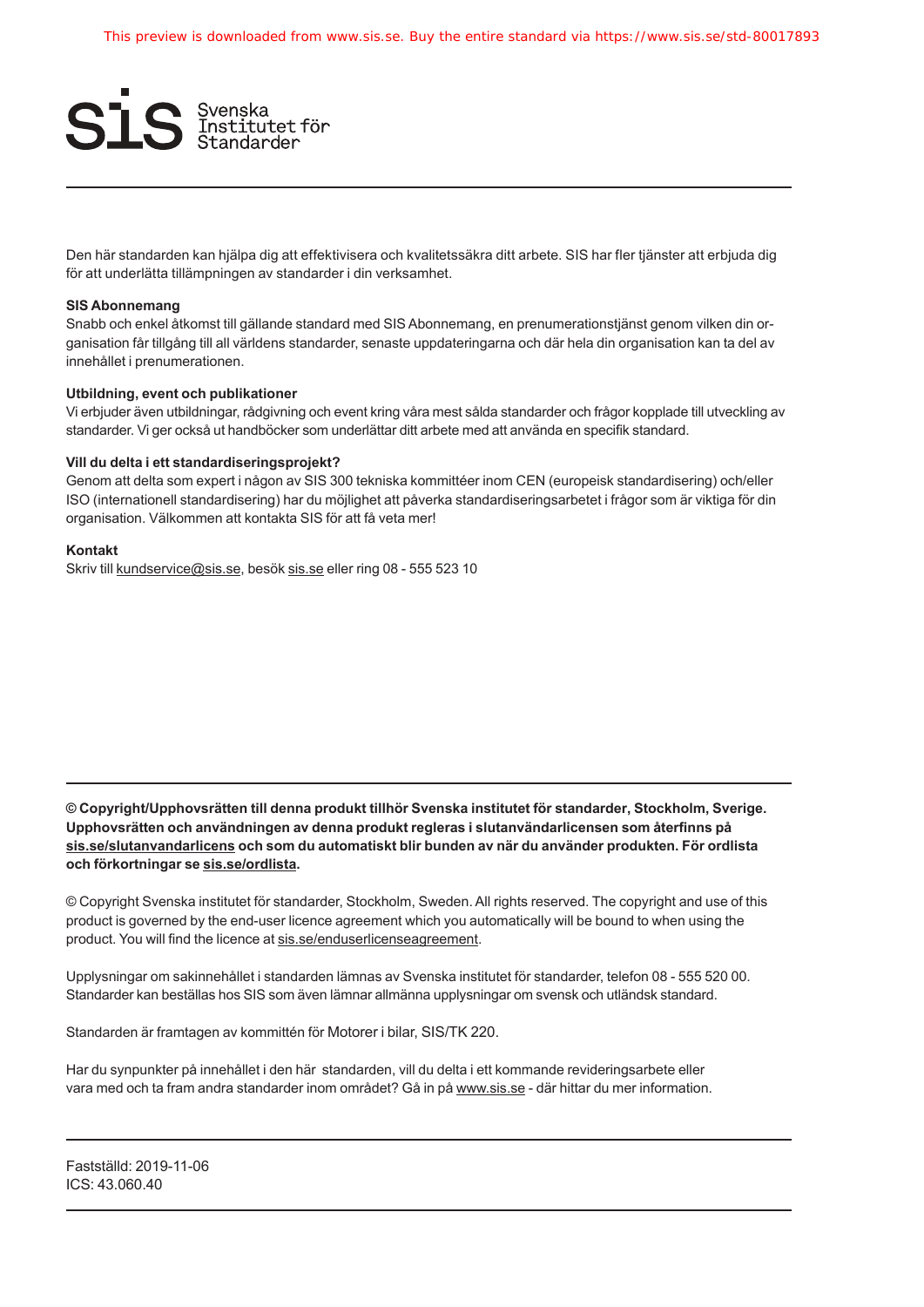

Den här standarden kan hjälpa dig att effektivisera och kvalitetssäkra ditt arbete. SIS har fler tjänster att erbjuda dig för att underlätta tillämpningen av standarder i din verksamhet.

#### **SIS Abonnemang**

Snabb och enkel åtkomst till gällande standard med SIS Abonnemang, en prenumerationstjänst genom vilken din organisation får tillgång till all världens standarder, senaste uppdateringarna och där hela din organisation kan ta del av innehållet i prenumerationen.

#### **Utbildning, event och publikationer**

Vi erbjuder även utbildningar, rådgivning och event kring våra mest sålda standarder och frågor kopplade till utveckling av standarder. Vi ger också ut handböcker som underlättar ditt arbete med att använda en specifik standard.

#### **Vill du delta i ett standardiseringsprojekt?**

Genom att delta som expert i någon av SIS 300 tekniska kommittéer inom CEN (europeisk standardisering) och/eller ISO (internationell standardisering) har du möjlighet att påverka standardiseringsarbetet i frågor som är viktiga för din organisation. Välkommen att kontakta SIS för att få veta mer!

#### **Kontakt**

Skriv till [kundservice@sis.se](mailto:kundservice%40sis.se?subject=kontakt), besök [sis.se](https://www.sis.se) eller ring 08 - 555 523 10

**© Copyright/Upphovsrätten till denna produkt tillhör Svenska institutet för standarder, Stockholm, Sverige. Upphovsrätten och användningen av denna produkt regleras i slutanvändarlicensen som återfinns på [sis.se/slutanvandarlicens](https://www.sis.se/slutanvandarlicens) och som du automatiskt blir bunden av när du använder produkten. För ordlista och förkortningar se [sis.se/ordlista](https://www.sis.se/ordlista).**

© Copyright Svenska institutet för standarder, Stockholm, Sweden. All rights reserved. The copyright and use of this product is governed by the end-user licence agreement which you automatically will be bound to when using the product. You will find the licence at [sis.se/enduserlicenseagreement](https://www.sis.se/enduserlicenseagreement).

Upplysningar om sakinnehållet i standarden lämnas av Svenska institutet för standarder, telefon 08 - 555 520 00. Standarder kan beställas hos SIS som även lämnar allmänna upplysningar om svensk och utländsk standard.

Standarden är framtagen av kommittén för Motorer i bilar, SIS/TK 220.

Har du synpunkter på innehållet i den här standarden, vill du delta i ett kommande revideringsarbete eller vara med och ta fram andra standarder inom området? Gå in på [www.sis.se](https://www.sis.se) - där hittar du mer information.

Fastställd: 2019-11-06 ICS: 43.060.40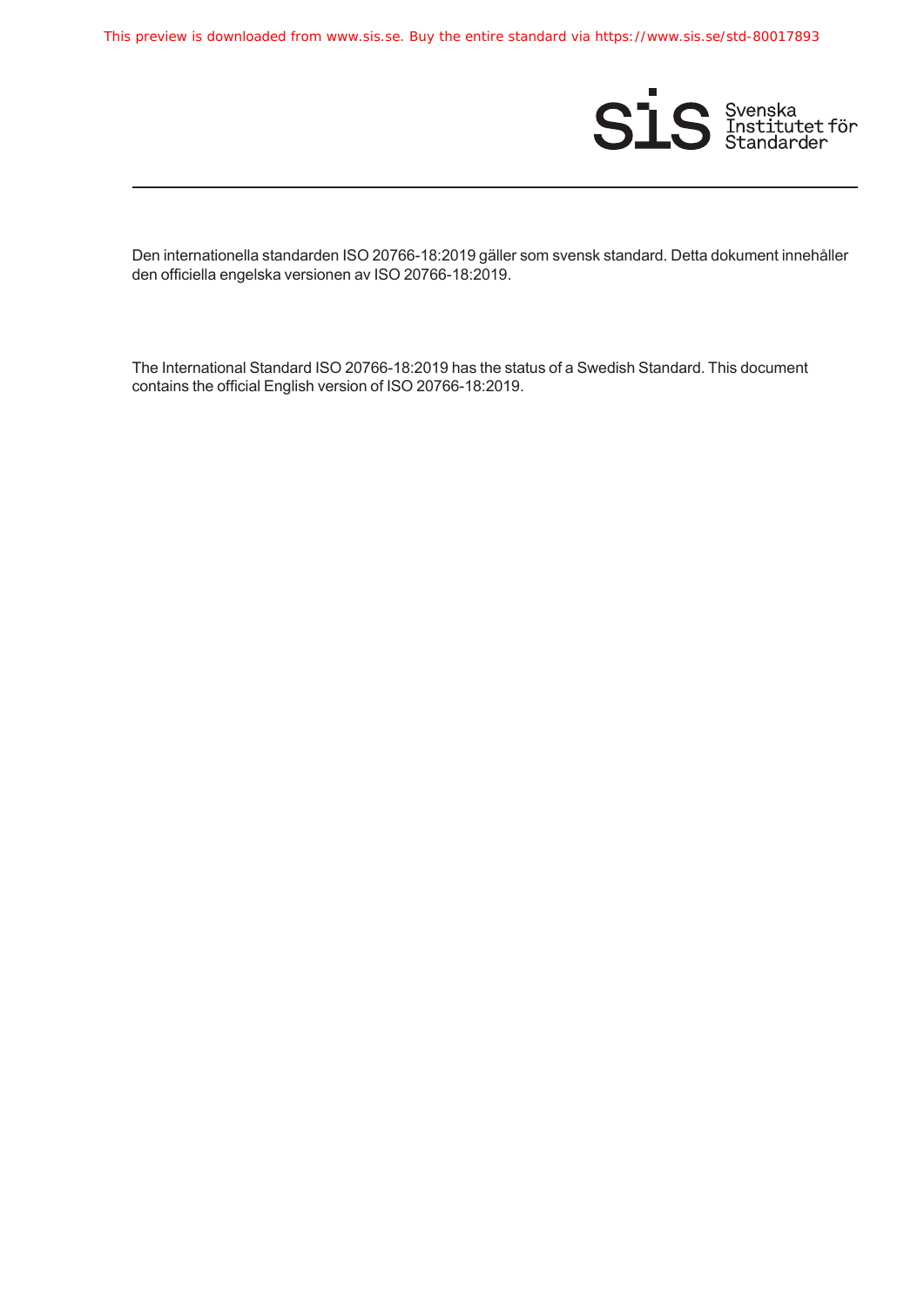This preview is downloaded from www.sis.se. Buy the entire standard via https://www.sis.se/std-80017893



Den internationella standarden ISO 20766-18:2019 gäller som svensk standard. Detta dokument innehåller den officiella engelska versionen av ISO 20766-18:2019.

The International Standard ISO 20766-18:2019 has the status of a Swedish Standard. This document contains the official English version of ISO 20766-18:2019.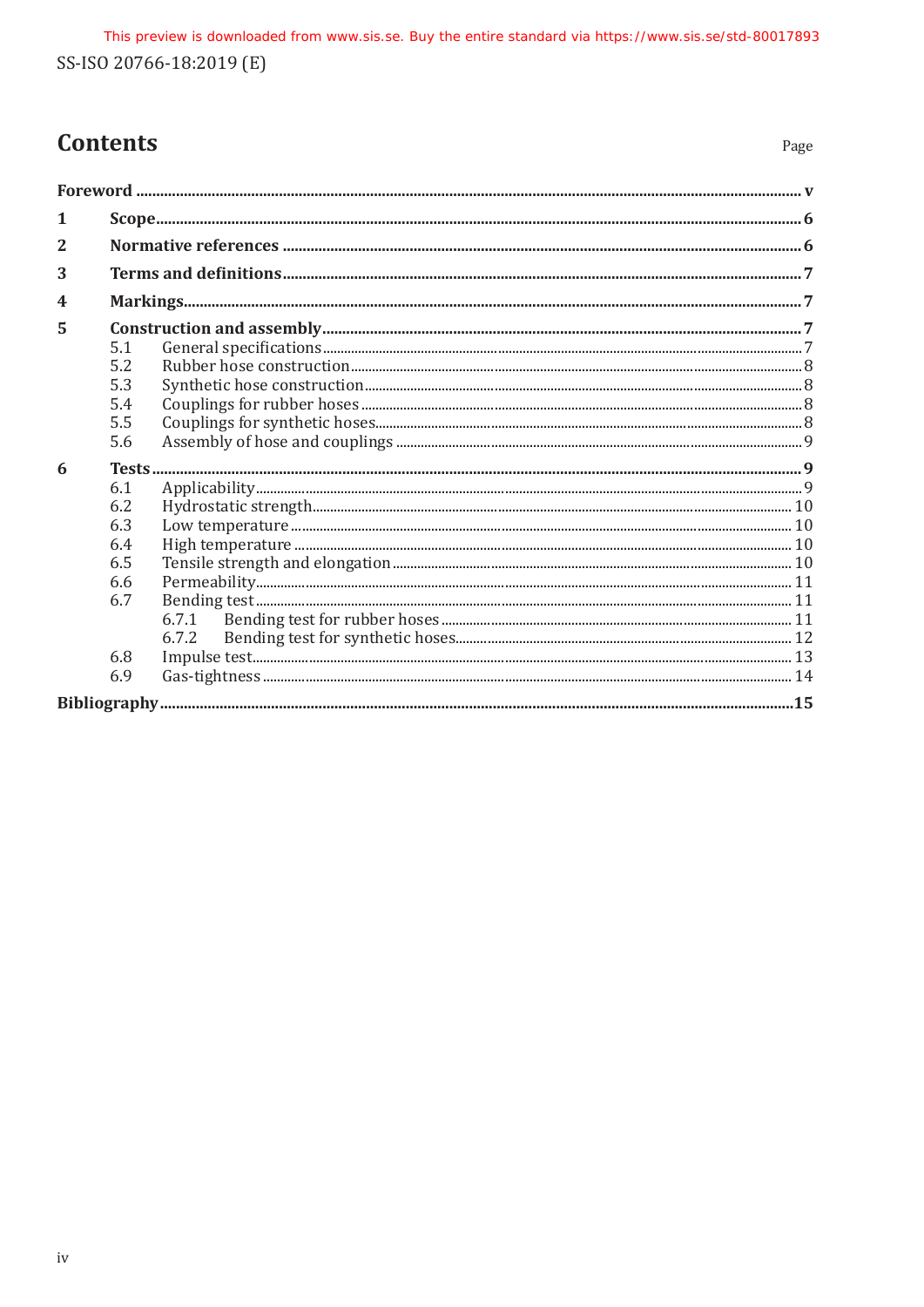# **Contents**

| 1                |     |       |  |
|------------------|-----|-------|--|
| $\mathbf{2}$     |     |       |  |
| 3                |     |       |  |
| $\boldsymbol{4}$ |     |       |  |
| 5                |     |       |  |
|                  | 5.1 |       |  |
|                  | 5.2 |       |  |
|                  | 5.3 |       |  |
|                  | 5.4 |       |  |
|                  | 5.5 |       |  |
|                  | 5.6 |       |  |
| 6                |     |       |  |
|                  | 6.1 |       |  |
|                  | 6.2 |       |  |
|                  | 6.3 |       |  |
|                  | 6.4 |       |  |
|                  | 6.5 |       |  |
|                  | 6.6 |       |  |
|                  | 6.7 |       |  |
|                  |     |       |  |
|                  |     | 6.7.2 |  |
|                  | 6.8 |       |  |
|                  | 6.9 |       |  |
|                  |     |       |  |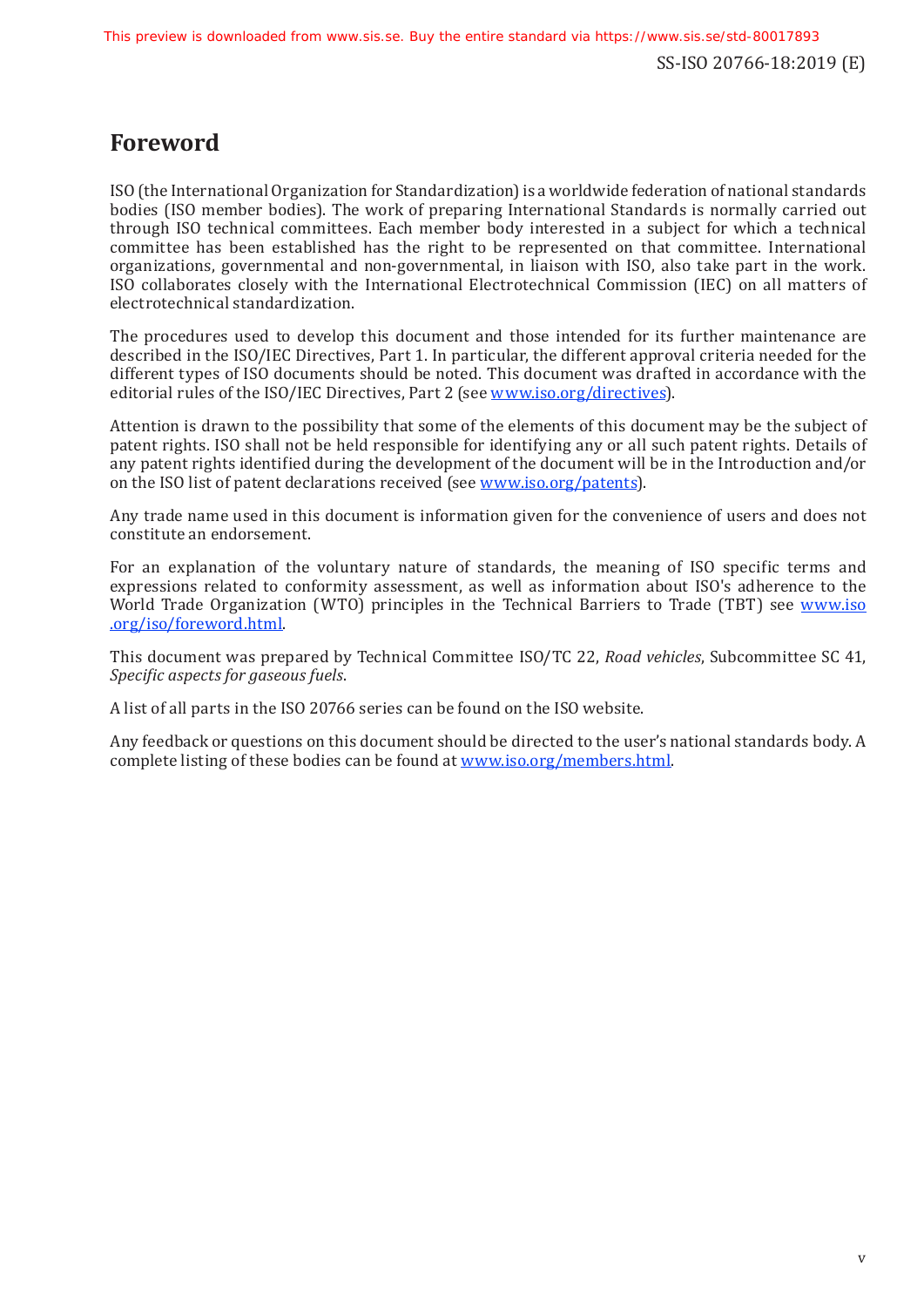## <span id="page-4-0"></span>**Foreword**

ISO (the International Organization for Standardization)is a worldwide federation of national standards bodies (ISO member bodies). The work of preparing International Standards is normally carried out through ISO technical committees. Each member body interested in a subject for which a technical committee has been established has the right to be represented on that committee. International organizations, governmental and non-governmental, in liaison with ISO, also take part in the work. ISO collaborates closely with the International Electrotechnical Commission (IEC) on all matters of electrotechnical standardization.

The procedures used to develop this document and those intended for its further maintenance are described in the ISO/IEC Directives, Part 1. In particular, the different approval criteria needed for the different types of ISO documents should be noted. This document was drafted in accordance with the editorial rules of the ISO/IEC Directives, Part 2 (see [www.iso.org/directives](https://www.iso.org/directives-and-policies.html)).

Attention is drawn to the possibility that some of the elements of this document may be the subject of patent rights. ISO shall not be held responsible for identifying any or all such patent rights. Details of any patent rights identified during the development of the document will be in the Introduction and/or on the ISO list of patent declarations received (see [www.iso.org/patents](https://www.iso.org/iso-standards-and-patents.html)).

Any trade name used in this document is information given for the convenience of users and does not constitute an endorsement.

For an explanation of the voluntary nature of standards, the meaning of ISO specific terms and expressions related to conformity assessment, as well as information about ISO's adherence to the World Trade Organization (WTO) principles in the Technical Barriers to Trade (TBT) see [www.iso](https://www.iso.org/foreword-supplementary-information.html) [.org/iso/foreword.html](https://www.iso.org/foreword-supplementary-information.html).

This document was prepared by Technical Committee ISO/TC 22, *Road vehicles*, Subcommittee SC 41, *Specific aspects for gaseous fuels*.

A list of all parts in the ISO 20766 series can be found on the ISO website.

Any feedback or questions on this document should be directed to the user's national standards body. A complete listing of these bodies can be found at [www.iso.org/members.html](https://www.iso.org/members.html).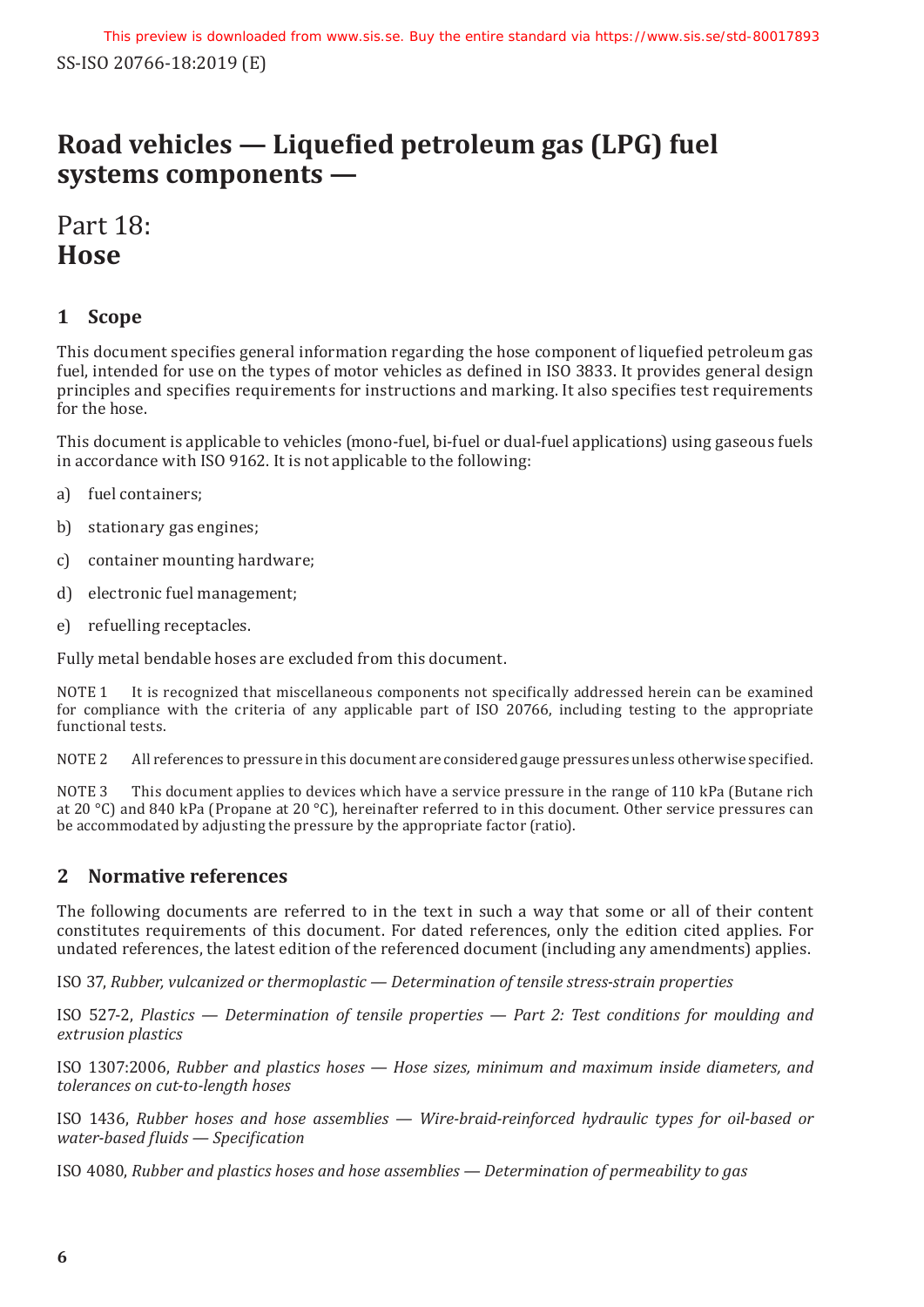# **Road vehicles — Liquefied petroleum gas (LPG) fuel systems components —**

# Part 18: **Hose**

### <span id="page-5-0"></span>**1 Scope**

This document specifies general information regarding the hose component of liquefied petroleum gas fuel, intended for use on the types of motor vehicles as defined in ISO 3833. It provides general design principles and specifies requirements for instructions and marking. It also specifies test requirements for the hose.

This document is applicable to vehicles (mono-fuel, bi-fuel or dual-fuel applications) using gaseous fuels in accordance with ISO 9162. It is not applicable to the following:

- a) fuel containers;
- b) stationary gas engines;
- c) container mounting hardware;
- d) electronic fuel management;
- e) refuelling receptacles.

Fully metal bendable hoses are excluded from this document.

NOTE 1 It is recognized that miscellaneous components not specifically addressed herein can be examined for compliance with the criteria of any applicable part of ISO 20766, including testing to the appropriate functional tests.

NOTE 2 All references to pressure in this document are considered gauge pressures unless otherwise specified.

NOTE 3 This document applies to devices which have a service pressure in the range of 110 kPa (Butane rich at 20 °C) and 840 kPa (Propane at 20 °C), hereinafter referred to in this document. Other service pressures can be accommodated by adjusting the pressure by the appropriate factor (ratio).

### <span id="page-5-1"></span>**2 Normative references**

The following documents are referred to in the text in such a way that some or all of their content constitutes requirements of this document. For dated references, only the edition cited applies. For undated references, the latest edition of the referenced document (including any amendments) applies.

ISO 37, *Rubber, vulcanized or thermoplastic — Determination of tensile stress-strain properties*

ISO 527-2, *Plastics — Determination of tensile properties — Part 2: Test conditions for moulding and extrusion plastics*

ISO 1307:2006, *Rubber and plastics hoses — Hose sizes, minimum and maximum inside diameters, and tolerances on cut-to-length hoses*

ISO 1436, *Rubber hoses and hose assemblies — Wire-braid-reinforced hydraulic types for oil-based or water-based fluids — Specification*

ISO 4080, *Rubber and plastics hoses and hose assemblies — Determination of permeability to gas*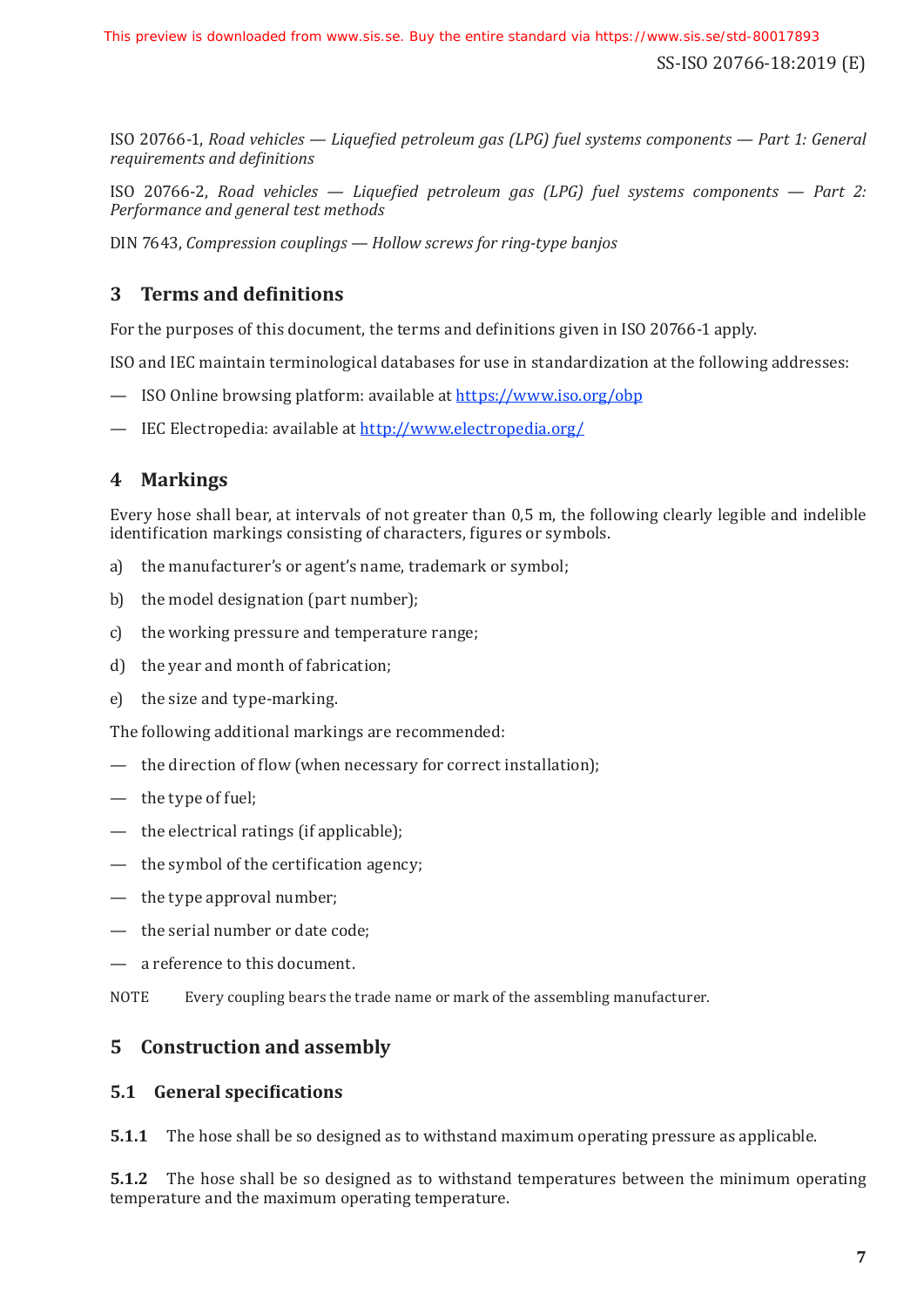ISO 20766-1, *Road vehicles — Liquefied petroleum gas (LPG) fuel systems components — Part 1: General requirements and definitions*

ISO 20766-2, *Road vehicles — Liquefied petroleum gas (LPG) fuel systems components — Part 2: Performance and general test methods*

DIN 7643, *Compression couplings — Hollow screws for ring-type banjos*

### <span id="page-6-0"></span>**3 Terms and definitions**

For the purposes of this document, the terms and definitions given in ISO 20766-1 apply.

ISO and IEC maintain terminological databases for use in standardization at the following addresses:

- ISO Online browsing platform: available at [https://www.iso.org/obp](https://www.iso.org/obp/ui)
- IEC Electropedia: available at <http://www.electropedia.org/>

### <span id="page-6-1"></span>**4 Markings**

Every hose shall bear, at intervals of not greater than 0,5 m, the following clearly legible and indelible identification markings consisting of characters, figures or symbols.

- a) the manufacturer's or agent's name, trademark or symbol;
- b) the model designation (part number);
- c) the working pressure and temperature range;
- d) the year and month of fabrication;
- e) the size and type-marking.

The following additional markings are recommended:

- the direction of flow (when necessary for correct installation);
- the type of fuel;
- $-$  the electrical ratings (if applicable);
- the symbol of the certification agency;
- $-$  the type approval number;
- the serial number or date code;
- — a reference to this document.
- NOTE Every coupling bears the trade name or mark of the assembling manufacturer.

### <span id="page-6-2"></span>**5 Construction and assembly**

#### <span id="page-6-3"></span>**5.1 General specifications**

**5.1.1** The hose shall be so designed as to withstand maximum operating pressure as applicable.

**5.1.2** The hose shall be so designed as to withstand temperatures between the minimum operating temperature and the maximum operating temperature.